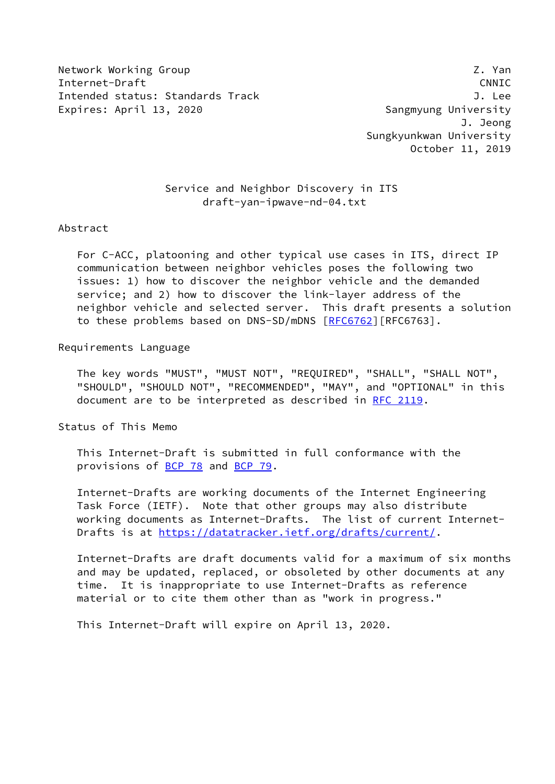Network Working Group 2. The control of the control of the control of the control of the control of the control of the control of the control of the control of the control of the control of the control of the control of th Internet-Draft CNNIC Intended status: Standards Track J. Lee Expires: April 13, 2020 **Sangmyung University** 

 J. Jeong Sungkyunkwan University October 11, 2019

### Service and Neighbor Discovery in ITS draft-yan-ipwave-nd-04.txt

#### Abstract

 For C-ACC, platooning and other typical use cases in ITS, direct IP communication between neighbor vehicles poses the following two issues: 1) how to discover the neighbor vehicle and the demanded service; and 2) how to discover the link-layer address of the neighbor vehicle and selected server. This draft presents a solution to these problems based on DNS-SD/mDNS [\[RFC6762](https://datatracker.ietf.org/doc/pdf/rfc6762)] [RFC6763].

#### Requirements Language

 The key words "MUST", "MUST NOT", "REQUIRED", "SHALL", "SHALL NOT", "SHOULD", "SHOULD NOT", "RECOMMENDED", "MAY", and "OPTIONAL" in this document are to be interpreted as described in [RFC 2119.](https://datatracker.ietf.org/doc/pdf/rfc2119)

Status of This Memo

 This Internet-Draft is submitted in full conformance with the provisions of [BCP 78](https://datatracker.ietf.org/doc/pdf/bcp78) and [BCP 79](https://datatracker.ietf.org/doc/pdf/bcp79).

 Internet-Drafts are working documents of the Internet Engineering Task Force (IETF). Note that other groups may also distribute working documents as Internet-Drafts. The list of current Internet Drafts is at<https://datatracker.ietf.org/drafts/current/>.

 Internet-Drafts are draft documents valid for a maximum of six months and may be updated, replaced, or obsoleted by other documents at any time. It is inappropriate to use Internet-Drafts as reference material or to cite them other than as "work in progress."

This Internet-Draft will expire on April 13, 2020.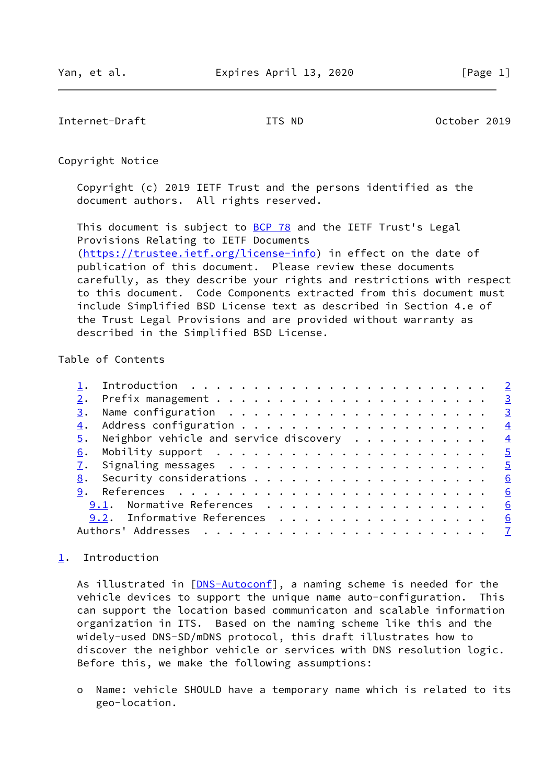<span id="page-1-1"></span>Internet-Draft ITS ND October 2019

Copyright Notice

 Copyright (c) 2019 IETF Trust and the persons identified as the document authors. All rights reserved.

This document is subject to **[BCP 78](https://datatracker.ietf.org/doc/pdf/bcp78)** and the IETF Trust's Legal Provisions Relating to IETF Documents [\(https://trustee.ietf.org/license-info](https://trustee.ietf.org/license-info)) in effect on the date of publication of this document. Please review these documents carefully, as they describe your rights and restrictions with respect to this document. Code Components extracted from this document must include Simplified BSD License text as described in Section 4.e of the Trust Legal Provisions and are provided without warranty as described in the Simplified BSD License.

## Table of Contents

|    | $\frac{5}{2}$ . Neighbor vehicle and service discovery 4 |  |
|----|----------------------------------------------------------|--|
|    |                                                          |  |
|    |                                                          |  |
| 8. | Security considerations $\cdots$ 6                       |  |
|    | 6                                                        |  |
|    | 9.1. Normative References 6                              |  |
|    | 9.2. Informative References 6                            |  |
|    |                                                          |  |
|    |                                                          |  |

# <span id="page-1-0"></span>[1](#page-1-0). Introduction

As illustrated in [[DNS-Autoconf\]](#page-6-2), a naming scheme is needed for the vehicle devices to support the unique name auto-configuration. This can support the location based communicaton and scalable information organization in ITS. Based on the naming scheme like this and the widely-used DNS-SD/mDNS protocol, this draft illustrates how to discover the neighbor vehicle or services with DNS resolution logic. Before this, we make the following assumptions:

 o Name: vehicle SHOULD have a temporary name which is related to its geo-location.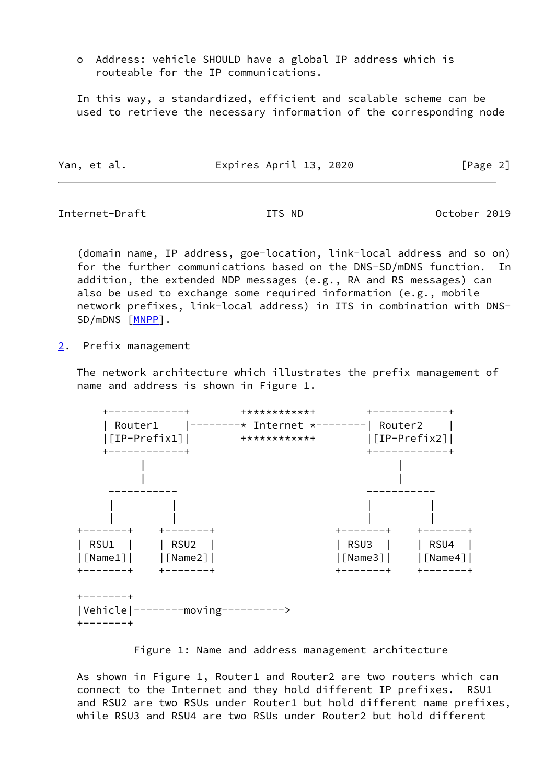o Address: vehicle SHOULD have a global IP address which is routeable for the IP communications.

 In this way, a standardized, efficient and scalable scheme can be used to retrieve the necessary information of the corresponding node

| Expires April 13, 2020<br>Yan, et al. | [Page 2] |
|---------------------------------------|----------|
|---------------------------------------|----------|

<span id="page-2-1"></span>Internet-Draft ITS ND October 2019

 (domain name, IP address, goe-location, link-local address and so on) for the further communications based on the DNS-SD/mDNS function. In addition, the extended NDP messages (e.g., RA and RS messages) can also be used to exchange some required information (e.g., mobile network prefixes, link-local address) in ITS in combination with DNS- SD/mDNS [\[MNPP](#page-6-3)].

<span id="page-2-0"></span>[2](#page-2-0). Prefix management

 The network architecture which illustrates the prefix management of name and address is shown in Figure 1.



Figure 1: Name and address management architecture

 As shown in Figure 1, Router1 and Router2 are two routers which can connect to the Internet and they hold different IP prefixes. RSU1 and RSU2 are two RSUs under Router1 but hold different name prefixes, while RSU3 and RSU4 are two RSUs under Router2 but hold different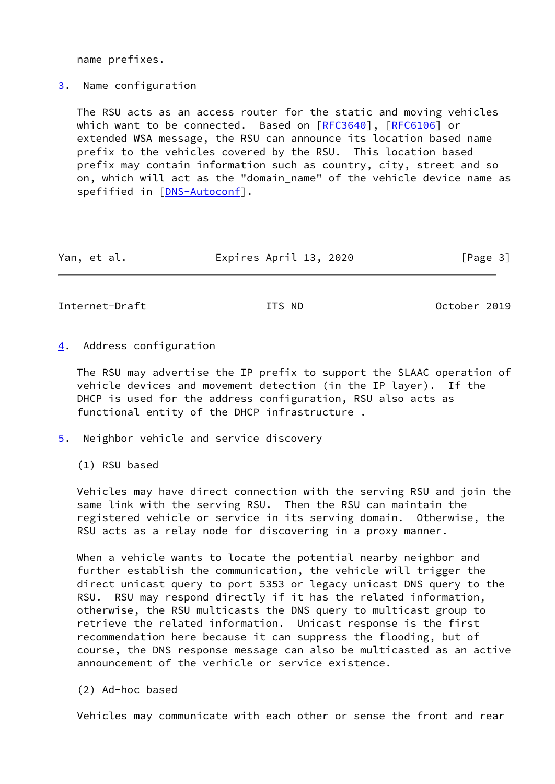name prefixes.

<span id="page-3-0"></span>[3](#page-3-0). Name configuration

 The RSU acts as an access router for the static and moving vehicles which want to be connected. Based on [[RFC3640](https://datatracker.ietf.org/doc/pdf/rfc3640)], [\[RFC6106](https://datatracker.ietf.org/doc/pdf/rfc6106)] or extended WSA message, the RSU can announce its location based name prefix to the vehicles covered by the RSU. This location based prefix may contain information such as country, city, street and so on, which will act as the "domain\_name" of the vehicle device name as spefified in [\[DNS-Autoconf](#page-6-2)].

| Yan, et al. | Expires April 13, 2020 | [Page 3] |
|-------------|------------------------|----------|
|             |                        |          |

<span id="page-3-2"></span>Internet-Draft ITS ND October 2019

<span id="page-3-1"></span>[4](#page-3-1). Address configuration

 The RSU may advertise the IP prefix to support the SLAAC operation of vehicle devices and movement detection (in the IP layer). If the DHCP is used for the address configuration, RSU also acts as functional entity of the DHCP infrastructure .

<span id="page-3-3"></span>[5](#page-3-3). Neighbor vehicle and service discovery

(1) RSU based

 Vehicles may have direct connection with the serving RSU and join the same link with the serving RSU. Then the RSU can maintain the registered vehicle or service in its serving domain. Otherwise, the RSU acts as a relay node for discovering in a proxy manner.

 When a vehicle wants to locate the potential nearby neighbor and further establish the communication, the vehicle will trigger the direct unicast query to port 5353 or legacy unicast DNS query to the RSU. RSU may respond directly if it has the related information, otherwise, the RSU multicasts the DNS query to multicast group to retrieve the related information. Unicast response is the first recommendation here because it can suppress the flooding, but of course, the DNS response message can also be multicasted as an active announcement of the verhicle or service existence.

(2) Ad-hoc based

Vehicles may communicate with each other or sense the front and rear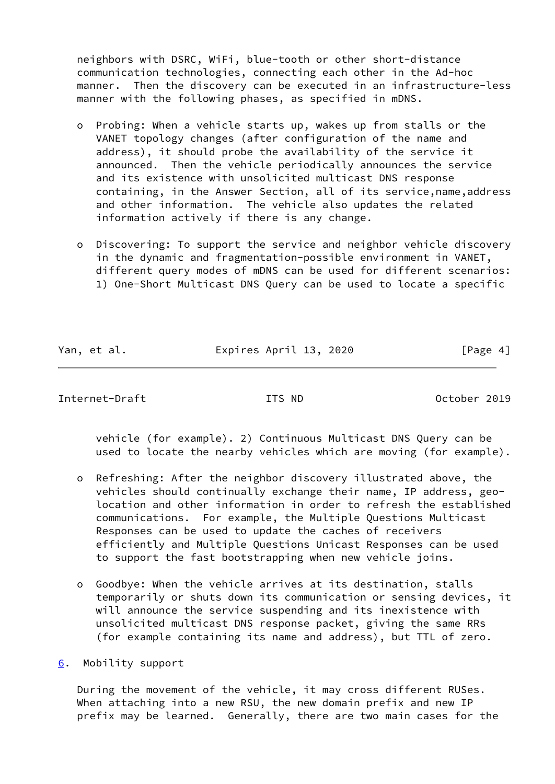neighbors with DSRC, WiFi, blue-tooth or other short-distance communication technologies, connecting each other in the Ad-hoc manner. Then the discovery can be executed in an infrastructure-less manner with the following phases, as specified in mDNS.

- o Probing: When a vehicle starts up, wakes up from stalls or the VANET topology changes (after configuration of the name and address), it should probe the availability of the service it announced. Then the vehicle periodically announces the service and its existence with unsolicited multicast DNS response containing, in the Answer Section, all of its service,name,address and other information. The vehicle also updates the related information actively if there is any change.
- o Discovering: To support the service and neighbor vehicle discovery in the dynamic and fragmentation-possible environment in VANET, different query modes of mDNS can be used for different scenarios: 1) One-Short Multicast DNS Query can be used to locate a specific

Yan, et al. **Expires April 13, 2020** [Page 4]

<span id="page-4-1"></span>Internet-Draft ITS ND October 2019

 vehicle (for example). 2) Continuous Multicast DNS Query can be used to locate the nearby vehicles which are moving (for example).

- o Refreshing: After the neighbor discovery illustrated above, the vehicles should continually exchange their name, IP address, geo location and other information in order to refresh the established communications. For example, the Multiple Questions Multicast Responses can be used to update the caches of receivers efficiently and Multiple Questions Unicast Responses can be used to support the fast bootstrapping when new vehicle joins.
- o Goodbye: When the vehicle arrives at its destination, stalls temporarily or shuts down its communication or sensing devices, it will announce the service suspending and its inexistence with unsolicited multicast DNS response packet, giving the same RRs (for example containing its name and address), but TTL of zero.

<span id="page-4-0"></span>[6](#page-4-0). Mobility support

 During the movement of the vehicle, it may cross different RUSes. When attaching into a new RSU, the new domain prefix and new IP prefix may be learned. Generally, there are two main cases for the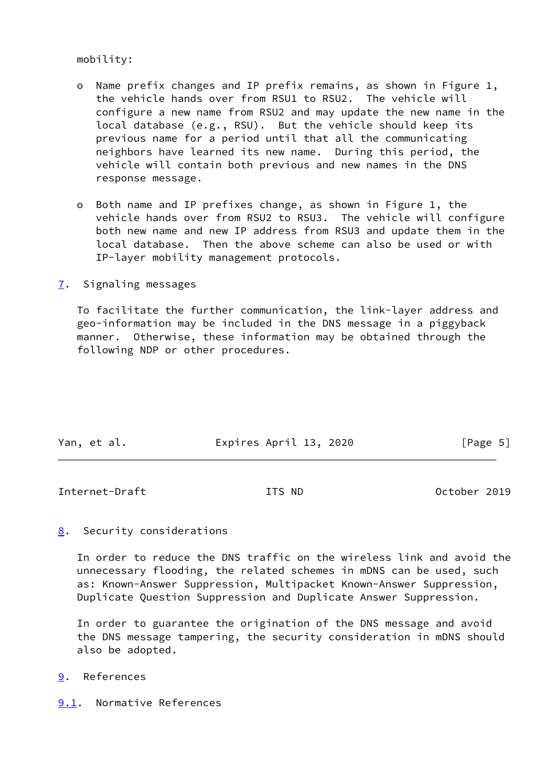mobility:

- o Name prefix changes and IP prefix remains, as shown in Figure 1, the vehicle hands over from RSU1 to RSU2. The vehicle will configure a new name from RSU2 and may update the new name in the local database (e.g., RSU). But the vehicle should keep its previous name for a period until that all the communicating neighbors have learned its new name. During this period, the vehicle will contain both previous and new names in the DNS response message.
- o Both name and IP prefixes change, as shown in Figure 1, the vehicle hands over from RSU2 to RSU3. The vehicle will configure both new name and new IP address from RSU3 and update them in the local database. Then the above scheme can also be used or with IP-layer mobility management protocols.
- <span id="page-5-0"></span>[7](#page-5-0). Signaling messages

 To facilitate the further communication, the link-layer address and geo-information may be included in the DNS message in a piggyback manner. Otherwise, these information may be obtained through the following NDP or other procedures.

| Yan, et al. | Expires April 13, 2020 | [Page 5] |
|-------------|------------------------|----------|

<span id="page-5-2"></span>Internet-Draft ITS ND October 2019

<span id="page-5-1"></span>[8](#page-5-1). Security considerations

 In order to reduce the DNS traffic on the wireless link and avoid the unnecessary flooding, the related schemes in mDNS can be used, such as: Known-Answer Suppression, Multipacket Known-Answer Suppression, Duplicate Question Suppression and Duplicate Answer Suppression.

 In order to guarantee the origination of the DNS message and avoid the DNS message tampering, the security consideration in mDNS should also be adopted.

- <span id="page-5-3"></span>[9](#page-5-3). References
- <span id="page-5-4"></span>[9.1](#page-5-4). Normative References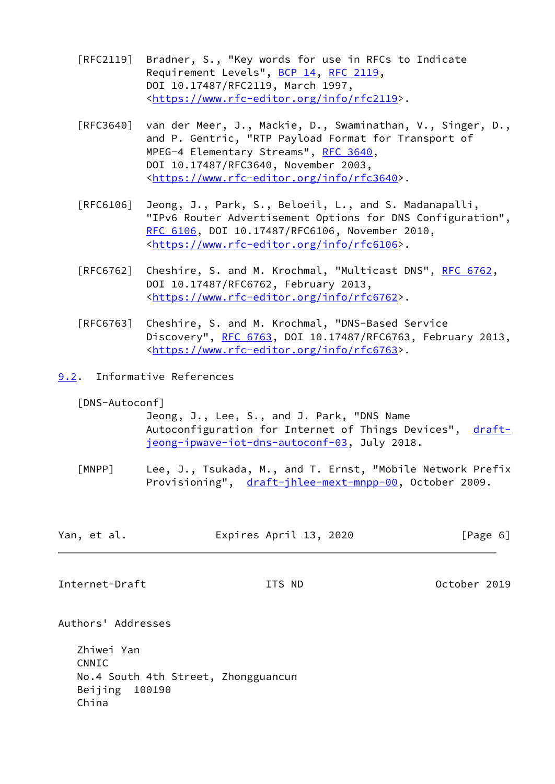- [RFC2119] Bradner, S., "Key words for use in RFCs to Indicate Requirement Levels", [BCP 14](https://datatracker.ietf.org/doc/pdf/bcp14), [RFC 2119](https://datatracker.ietf.org/doc/pdf/rfc2119), DOI 10.17487/RFC2119, March 1997, <[https://www.rfc-editor.org/info/rfc2119>](https://www.rfc-editor.org/info/rfc2119).
- [RFC3640] van der Meer, J., Mackie, D., Swaminathan, V., Singer, D., and P. Gentric, "RTP Payload Format for Transport of MPEG-4 Elementary Streams", [RFC 3640,](https://datatracker.ietf.org/doc/pdf/rfc3640) DOI 10.17487/RFC3640, November 2003, <[https://www.rfc-editor.org/info/rfc3640>](https://www.rfc-editor.org/info/rfc3640).
- [RFC6106] Jeong, J., Park, S., Beloeil, L., and S. Madanapalli, "IPv6 Router Advertisement Options for DNS Configuration", [RFC 6106,](https://datatracker.ietf.org/doc/pdf/rfc6106) DOI 10.17487/RFC6106, November 2010, <[https://www.rfc-editor.org/info/rfc6106>](https://www.rfc-editor.org/info/rfc6106).
- [RFC6762] Cheshire, S. and M. Krochmal, "Multicast DNS", [RFC 6762](https://datatracker.ietf.org/doc/pdf/rfc6762), DOI 10.17487/RFC6762, February 2013, <[https://www.rfc-editor.org/info/rfc6762>](https://www.rfc-editor.org/info/rfc6762).
- [RFC6763] Cheshire, S. and M. Krochmal, "DNS-Based Service Discovery", [RFC 6763,](https://datatracker.ietf.org/doc/pdf/rfc6763) DOI 10.17487/RFC6763, February 2013, <[https://www.rfc-editor.org/info/rfc6763>](https://www.rfc-editor.org/info/rfc6763).
- <span id="page-6-0"></span>[9.2](#page-6-0). Informative References

<span id="page-6-2"></span>[DNS-Autoconf]

 Jeong, J., Lee, S., and J. Park, "DNS Name Autoconfiguration for Internet of Things Devices", [draft](https://datatracker.ietf.org/doc/pdf/draft-jeong-ipwave-iot-dns-autoconf-03) [jeong-ipwave-iot-dns-autoconf-03,](https://datatracker.ietf.org/doc/pdf/draft-jeong-ipwave-iot-dns-autoconf-03) July 2018.

<span id="page-6-3"></span>[MNPP] Lee, J., Tsukada, M., and T. Ernst, "Mobile Network Prefix Provisioning", [draft-jhlee-mext-mnpp-00,](https://datatracker.ietf.org/doc/pdf/draft-jhlee-mext-mnpp-00) October 2009.

| Yan, et al. | Expires April 13, 2020 | [Page 6] |
|-------------|------------------------|----------|
|             |                        |          |

<span id="page-6-1"></span>Internet-Draft ITS ND October 2019

Authors' Addresses

 Zhiwei Yan CNNIC No.4 South 4th Street, Zhongguancun Beijing 100190 China